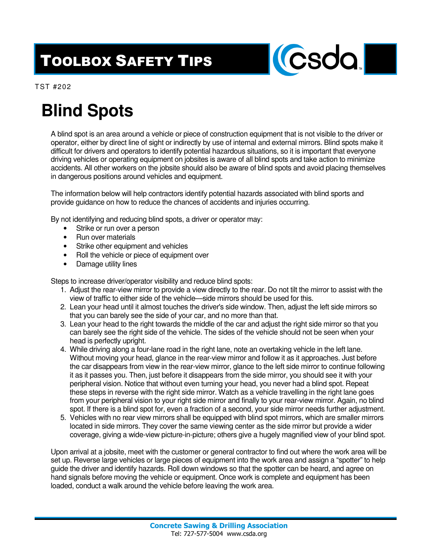## TOOLBOX SAFETY TIPS



TST #202

## **Blind Spots**

A blind spot is an area around a vehicle or piece of construction equipment that is not visible to the driver or operator, either by direct line of sight or indirectly by use of internal and external mirrors. Blind spots make it difficult for drivers and operators to identify potential hazardous situations, so it is important that everyone driving vehicles or operating equipment on jobsites is aware of all blind spots and take action to minimize accidents. All other workers on the jobsite should also be aware of blind spots and avoid placing themselves in dangerous positions around vehicles and equipment.

The information below will help contractors identify potential hazards associated with blind sports and provide guidance on how to reduce the chances of accidents and injuries occurring.

By not identifying and reducing blind spots, a driver or operator may:

- Strike or run over a person
- Run over materials
- Strike other equipment and vehicles
- Roll the vehicle or piece of equipment over
- Damage utility lines

Steps to increase driver/operator visibility and reduce blind spots:

- 1. Adjust the rear-view mirror to provide a view directly to the rear. Do not tilt the mirror to assist with the view of traffic to either side of the vehicle—side mirrors should be used for this.
- 2. Lean your head until it almost touches the driver's side window. Then, adjust the left side mirrors so that you can barely see the side of your car, and no more than that.
- 3. Lean your head to the right towards the middle of the car and adjust the right side mirror so that you can barely see the right side of the vehicle. The sides of the vehicle should not be seen when your head is perfectly upright.
- 4. While driving along a four-lane road in the right lane, note an overtaking vehicle in the left lane. Without moving your head, glance in the rear-view mirror and follow it as it approaches. Just before the car disappears from view in the rear-view mirror, glance to the left side mirror to continue following it as it passes you. Then, just before it disappears from the side mirror, you should see it with your peripheral vision. Notice that without even turning your head, you never had a blind spot. Repeat these steps in reverse with the right side mirror. Watch as a vehicle travelling in the right lane goes from your peripheral vision to your right side mirror and finally to your rear-view mirror. Again, no blind spot. If there is a blind spot for, even a fraction of a second, your side mirror needs further adjustment.
- 5. Vehicles with no rear view mirrors shall be equipped with blind spot mirrors, which are smaller mirrors located in side mirrors. They cover the same viewing center as the side mirror but provide a wider coverage, giving a wide-view picture-in-picture; others give a hugely magnified view of your blind spot.

Upon arrival at a jobsite, meet with the customer or general contractor to find out where the work area will be set up. Reverse large vehicles or large pieces of equipment into the work area and assign a "spotter" to help guide the driver and identify hazards. Roll down windows so that the spotter can be heard, and agree on hand signals before moving the vehicle or equipment. Once work is complete and equipment has been loaded, conduct a walk around the vehicle before leaving the work area.